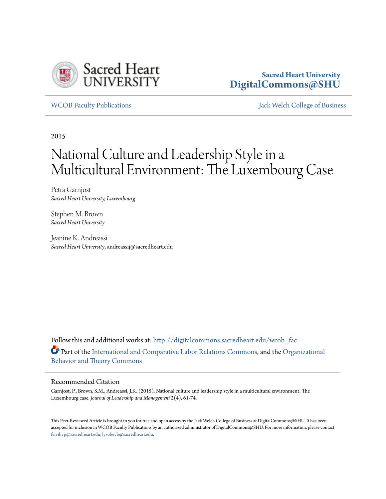

# **Sacred Heart University [DigitalCommons@SHU](http://digitalcommons.sacredheart.edu?utm_source=digitalcommons.sacredheart.edu%2Fwcob_fac%2F477&utm_medium=PDF&utm_campaign=PDFCoverPages)**

[WCOB Faculty Publications](http://digitalcommons.sacredheart.edu/wcob_fac?utm_source=digitalcommons.sacredheart.edu%2Fwcob_fac%2F477&utm_medium=PDF&utm_campaign=PDFCoverPages) [Jack Welch College of Business](http://digitalcommons.sacredheart.edu/wcob?utm_source=digitalcommons.sacredheart.edu%2Fwcob_fac%2F477&utm_medium=PDF&utm_campaign=PDFCoverPages)

2015

# National Culture and Leadership Style in a Multicultural Environment: The Luxembourg Case

Petra Garnjost *Sacred Heart University, Luxembourg*

Stephen M. Brown *Sacred Heart University*

Jeanine K. Andreassi *Sacred Heart University*, andreassij@sacredheart.edu

Follow this and additional works at: [http://digitalcommons.sacredheart.edu/wcob\\_fac](http://digitalcommons.sacredheart.edu/wcob_fac?utm_source=digitalcommons.sacredheart.edu%2Fwcob_fac%2F477&utm_medium=PDF&utm_campaign=PDFCoverPages) Part of the [International and Comparative Labor Relations Commons](http://network.bepress.com/hgg/discipline/1259?utm_source=digitalcommons.sacredheart.edu%2Fwcob_fac%2F477&utm_medium=PDF&utm_campaign=PDFCoverPages), and the [Organizational](http://network.bepress.com/hgg/discipline/639?utm_source=digitalcommons.sacredheart.edu%2Fwcob_fac%2F477&utm_medium=PDF&utm_campaign=PDFCoverPages) [Behavior and Theory Commons](http://network.bepress.com/hgg/discipline/639?utm_source=digitalcommons.sacredheart.edu%2Fwcob_fac%2F477&utm_medium=PDF&utm_campaign=PDFCoverPages)

## Recommended Citation

Garnjost, P., Brown, S.M., Andreassi, J.K. (2015). National culture and leadership style in a multicultural environment: The Luxembourg case. *Journal of Leadership and Management* 2(4), 61-74.

This Peer-Reviewed Article is brought to you for free and open access by the Jack Welch College of Business at DigitalCommons@SHU. It has been accepted for inclusion in WCOB Faculty Publications by an authorized administrator of DigitalCommons@SHU. For more information, please contact [ferribyp@sacredheart.edu, lysobeyb@sacredheart.edu.](mailto:ferribyp@sacredheart.edu,%20lysobeyb@sacredheart.edu)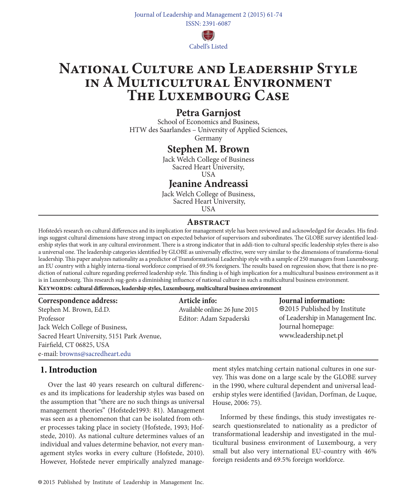

# **National Culture and Leadership Style in A Multicultural Environment The Luxembourg Case**

# **Petra Garnjost**

School of Economics and Business, HTW des Saarlandes – University of Applied Sciences, Germany

# **Stephen M. Brown**

Jack Welch College of Business Sacred Heart University,

USA

# **Jeanine Andreassi**

Jack Welch College of Business, Sacred Heart University, USA

# **Abstract**

Hofstede's research on cultural differences and its implication for management style has been reviewed and acknowledged for decades. His findings suggest cultural dimensions have strong impact on expected behavior of supervisors and subordinates. The GLOBE survey identified leadership styles that work in any cultural environment. There is a strong indicator that in addi-tion to cultural specific leadership styles there is also a universal one. The leadership categories identified by GLOBE as universally effective, were very similar to the dimensions of transforma-tional leadership. This paper analyzes nationality as a predictor of Transformational Leadership style with a sample of 250 managers from Luxembourg; an EU country with a highly interna-tional workforce comprised of 69.5% foreigners. The results based on regression show, that there is no prediction of national culture regarding preferred leadership style. This finding is of high implication for a multicultural business environment as it is in Luxembourg. This research sug-gests a diminishing influence of national culture in such a multicultural business environment.

#### **Keywords: cultural differences, leadership styles, Luxembourg, multicultural business environment**

| Correspondence address: |  |  |  |
|-------------------------|--|--|--|
|-------------------------|--|--|--|

Stephen M. Brown, Ed.D. Professor Jack Welch College of Business, Sacred Heart University, 5151 Park Avenue, Fairfield, CT 06825, USA e-mail: browns@sacredheart.edu

# **Article info:**

Available online: 26 June 2015 Editor: Adam Szpaderski

**Journal information:** 2015 Published by Institute of Leadership in Management Inc. Journal homepage: www.leadership.net.pl

# **1. Introduction**

Over the last 40 years research on cultural differences and its implications for leadership styles was based on the assumption that "there are no such things as universal management theories" (Hofstede1993: 81). Management was seen as a phenomenon that can be isolated from other processes taking place in society (Hofstede, 1993; Hofstede, 2010). As national culture determines values of an individual and values determine behavior, not every management styles works in every culture (Hofstede, 2010). However, Hofstede never empirically analyzed management styles matching certain national cultures in one survey. This was done on a large scale by the GLOBE survey in the 1990, where cultural dependent and universal leadership styles were identified (Javidan, Dorfman, de Luque, House, 2006: 75).

Informed by these findings, this study investigates research questionsrelated to nationality as a predictor of transformational leadership and investigated in the multicultural business environment of Luxembourg, a very small but also very international EU-country with 46% foreign residents and 69.5% foreign workforce.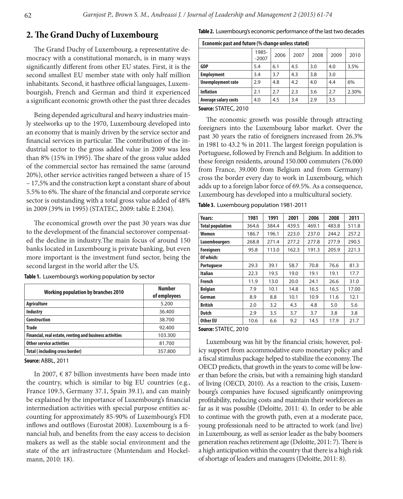# **2. The Grand Duchy of Luxembourg**

The Grand Duchy of Luxembourg, a representative democracy with a constitutional monarch, is in many ways significantly different from other EU states. First, it is the second smallest EU member state with only half million inhabitants. Second, it hasthree official languages, Luxembourgish, French and German and third it experienced a significant economic growth other the past three decades

Being depended agricultural and heavy industries mainly steelworks up to the 1970, Luxembourg developed into an economy that is mainly driven by the service sector and financial services in particular. The contribution of the industrial sector to the gross added value in 2009 was less than 8% (15% in 1995). The share of the gross value added of the commercial sector has remained the same (around 20%), other service activities ranged between a share of 15 – 17,5% and the construction kept a constant share of about 5.5% to 6%. The share of the financial and corporate service sector is outstanding with a total gross value added of 48% in 2009 (39% in 1995) (STATEC, 2009: table E 2304).

The economical growth over the past 30 years was due to the development of the financial sectorover compensated the decline in industry.The main focus of around 150 banks located in Luxembourg is private banking, but even more important is the investment fund sector, being the second largest in the world after the US.

| <b>Working population by branches 2010</b>              | Number<br>of employees |
|---------------------------------------------------------|------------------------|
| <b>Agriculture</b>                                      | 5.200                  |
| Industry                                                | 36.400                 |
| <b>Construction</b>                                     | 38.700                 |
| <b>Trade</b>                                            | 92.400                 |
| Financial, real estate, renting and business activities | 103.300                |
| Other service activities                                | 81.700                 |
| Total (including cross border)                          | 357.800                |

**Table 1.** Luxembourg's working population by sector

**Source:** ABBL, 2011

In 2007,  $\epsilon$  87 billion investments have been made into the country, which is similar to big EU countries (e.g., France 109.5, Germany 37.1, Spain 39.1), and can mainly be explained by the importance of Luxembourg's financial intermediation activities with special purpose entities accounting for approximately 85-90% of Luxembourg's FDI inflows and outflows (Eurostat 2008). Luxembourg is a financial hub, and benefits from the easy access to decision makers as well as the stable social environment and the state of the art infrastructure (Muntendam and Hockelmann, 2010: 18).

| Economic past and future (% change unless stated) |                  |      |      |      |      |       |
|---------------------------------------------------|------------------|------|------|------|------|-------|
|                                                   | 1985-<br>$-2007$ | 2006 | 2007 | 2008 | 2009 | 2010  |
| <b>GDP</b>                                        | 5.4              | 6.1  | 4.5  | 3.0  | 4.0  | 3.5%  |
| <b>Employment</b>                                 | 3.4              | 3.7  | 4.3  | 3.8  | 3.0  |       |
| <b>Unemployment rate</b>                          | 2.9              | 4.8  | 4.2  | 4.0  | 4.4  | 6%    |
| <b>Inflation</b>                                  | 2.1              | 2.7  | 2.3  | 3.6  | 2.7  | 2.30% |
| <b>Average salary costs</b>                       | 4.0              | 4.5  | 3.4  | 2.9  | 3.5  |       |

#### **Source:** STATEC, 2010

The economic growth was possible through attracting foreigners into the Luxembourg labor market. Over the past 30 years the ratio of foreigners increased from 26.3% in 1981 to 43.2 % in 2011. The largest foreign population is Portuguese, followed by French and Belgium. In addition to these foreign residents, around 150.000 commuters (76.000 from France, 39.000 from Belgium and from Germany) cross the border every day to work in Luxembourg, which adds up to a foreign labor force of 69.5%. As a consequence, Luxembourg has developed into a multicultural society.

**Table 3.** Luxembourg population 1981-2011

| Years:                  | 1981  | 1991  | 2001  | 2006  | 2008  | 2011  |
|-------------------------|-------|-------|-------|-------|-------|-------|
| <b>Total population</b> | 364.6 | 384.4 | 439.5 | 469.1 | 483.8 | 511.8 |
| Women                   | 186.7 | 196.1 | 223.0 | 237.0 | 244.2 | 257.2 |
| <b>Luxembourgers</b>    | 268.8 | 271.4 | 277.2 | 277.8 | 277.9 | 290.5 |
| <b>Foreigners</b>       | 95.8  | 113.0 | 162.3 | 191.3 | 205.9 | 221.3 |
| Of which:               |       |       |       |       |       |       |
| <b>Portuguese</b>       | 29.3  | 39.1  | 58.7  | 70.8  | 76.6  | 81.3  |
| <b>Italian</b>          | 22.3  | 19.5  | 19.0  | 19.1  | 19.1  | 17.7  |
| French                  | 11.9  | 13.0  | 20.0  | 24.1  | 26.6  | 31.0  |
| <b>Belgian</b>          | 7.9   | 10.1  | 14.8  | 16.5  | 16.5  | 17.00 |
| German                  | 8.9   | 8.8   | 10.1  | 10.9  | 11.6  | 12.1  |
| <b>British</b>          | 2.0   | 3.2   | 4.3   | 4.8   | 5.0   | 5.6   |
| <b>Dutch</b>            | 2.9   | 3.5   | 3.7   | 3.7   | 3.8   | 3.8   |
| Other EU                | 10.6  | 6.6   | 9.2   | 14.5  | 17.9  | 21.7  |

#### **Source:** STATEC, 2010

Luxembourg was hit by the financial crisis; however, policy support from accommodative euro monetary policy and a fiscal stimulus package helped to stabilize the economy. The OECD predicts, that growth in the years to come will be lower than before the crisis, but with a remaining high standard of living (OECD, 2010). As a reaction to the crisis, Luxembourg's companies have focused significantly onimproving profitability, reducing costs and maintain their workforces as far as it was possible (Deloitte, 2011: 4). In order to be able to continue with the growth path, even at a moderate pace, young professionals need to be attracted to work (and live) in Luxembourg, as well as senior leader as the baby boomers generation reaches retirement age (Deloitte, 2011: 7). There is a high anticipation within the country that there is a high risk of shortage of leaders and managers (Deloitte, 2011: 8).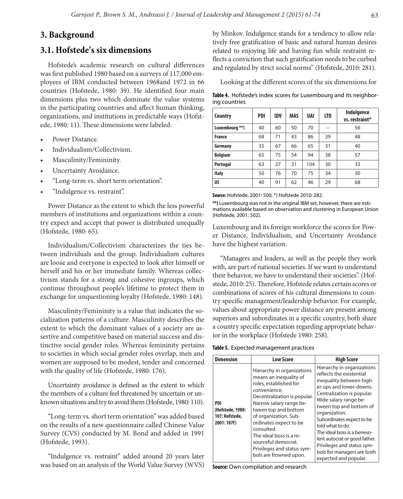# **3. Background**

# **3.1. Hofstede's six dimensions**

Hofstede's academic research on cultural differences was first published 1980 based on a surveys of 117,000 employees of IBM conducted between 1968and 1972 in 66 countries (Hofstede, 1980: 39). He identified four main dimensions plus two which dominate the value systems in the participating countries and affect human thinking, organizations, and institutions in predictable ways (Hofstede, 1980: 11). These dimensions were labeled:

- Power Distance.
- Individualism/Collectivism.
- Masculinity/Femininity.
- Uncertainty Avoidance.
- "Long-term vs. short term orientation".
- "Indulgence vs. restraint".

Power Distance as the extent to which the less powerful members of institutions and organizations within a country expect and accept that power is distributed unequally (Hofstede, 1980: 65).

Individualism/Collectivism characterizes the ties between individuals and the group. Individualism cultures are loose and everyone is expected to look after himself or herself and his or her immediate family. Whereas collectivism stands for a strong and cohesive ingroups, which continue throughout people's lifetime to protect them in exchange for unquestioning loyalty (Hofstede, 1980: 148).

Masculinity/Femininity is a value that indicates the socialization patterns of a culture. Masculinity describes the extent to which the dominant values of a society are assertive and competitive based on material success and distinctive social gender roles. Whereas femininity pertains to societies in which social gender roles overlap, men and women are supposed to be modest, tender and concerned with the quality of life (Hofstede, 1980: 176).

Uncertainty avoidance is defined as the extent to which the members of a culture feel threatened by uncertain or unknown situations and try to avoid them (Hofstede, 1980: 110).

"Long-term vs. short term orientation" was added based on the results of a new questionnaire called Chinese Value Survey (CVS) conducted by M. Bond and added in 1991 (Hofstede, 1993).

"Indulgence vs. restraint" added around 20 years later was based on an analysis of the World Value Survey (WVS) by Minkov. Indulgence stands for a tendency to allow relatively free gratification of basic and natural human desires related to enjoying life and having fun while restraint reflects a conviction that such gratification needs to be curbed and regulated by strict social norms" (Hofstede, 2010: 281).

Looking at the different scores of the six dimensions for

**Table 4.** Hofstede's index scores for Luxembourg and its neighboring countries

| Country        | <b>PDI</b> | <b>IDV</b> | <b>MAS</b> | UAI | LTO | Indulgence<br>vs. restraint* |
|----------------|------------|------------|------------|-----|-----|------------------------------|
| Luxembourg **) | 40         | 60         | 50         | 70  |     | 56                           |
| France         | 68         | 71         | 43         | 86  | 39  | 48                           |
| Germany        | 35         | 67         | 66         | 65  | 31  | 40                           |
| <b>Belgium</b> | 65         | 75         | 54         | 94  | 38  | 57                           |
| Portugal       | 63         | 27         | 31         | 104 | 30  | 33                           |
| <b>Italy</b>   | 50         | 76         | 70         | 75  | 34  | 30                           |
| <b>US</b>      | 40         | 91         | 62         | 46  | 29  | 68                           |

#### **Source:** Hofstede, 2001: 500; \*) Hofstede 2010: 282.

**\*\*)** Luxembourg was not in the original IBM set, however, there are estimations available based on observation and clustering in European Union (Hofstede, 2001: 502).

Luxembourg and its foreign workforce the scores for Power Distance, Individualism, and Uncertainty Avoidance have the highest variation.

"Managers and leaders, as well as the people they work with, are part of national societies. If we want to understand their behavior, we have to understand their societies". (Hofstede, 2010: 25). Therefore, Hofstede relates certain scores or combinations of scores of his cultural dimensions to country specific management/leadership behavior. For example, values about appropriate power distance are present among superiors and subordinates in a specific country, both share a country specific expectation regarding appropriate behavior in the workplace (Hofstede 1980: 258).

**Table 5.** Expected management practices

| <b>Dimension</b>                                         | <b>Low Score</b>                                                                                                                                                                                                                                                                                                                                             | <b>High Score</b>                                                                                                                                                                                                                                                                                                                                                                                                      |
|----------------------------------------------------------|--------------------------------------------------------------------------------------------------------------------------------------------------------------------------------------------------------------------------------------------------------------------------------------------------------------------------------------------------------------|------------------------------------------------------------------------------------------------------------------------------------------------------------------------------------------------------------------------------------------------------------------------------------------------------------------------------------------------------------------------------------------------------------------------|
| PDI<br>(Hofstede, 1980:<br>107: Hofstede.<br>2001: 107f) | Hierarchy in organizations<br>means an inequality of<br>roles, established for<br>convenience.<br>Decentralization is popular.<br>Narrow salary range be-<br>tween top and bottom<br>of organization. Sub-<br>ordinates expect to be<br>consulted.<br>The ideal boss is a re-<br>sourceful democrat.<br>Privileges and status sym-<br>bols are frowned upon. | Hierarchy in organizations<br>reflects the existential<br>inequality between high-<br>er-ups and lower-downs.<br>Centralization is popular.<br>Wide salary range be-<br>tween top and bottom of<br>organization.<br>Subordinates expect to be<br>told what to do.<br>The ideal boss is a benevo-<br>lent autocrat or good father.<br>Privileges and status sym-<br>bols for managers are both<br>expected and popular. |

**Source: Own compilation and research**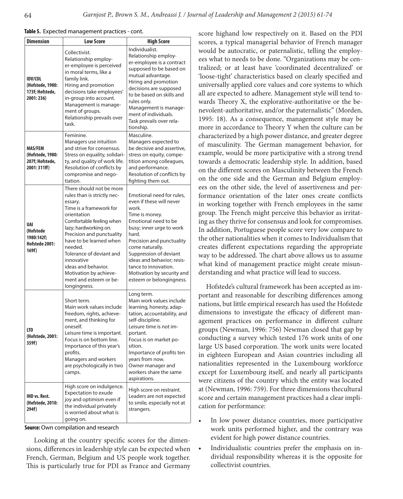|  |  |  |  | <b>Table 5.</b> Expected management practices - cont. |  |  |
|--|--|--|--|-------------------------------------------------------|--|--|
|--|--|--|--|-------------------------------------------------------|--|--|

| <b>Dimension</b>                                                      | <b>Low Score</b>                                                                                                                                                                                                                                                                                                                                                          | <b>High Score</b>                                                                                                                                                                                                                                                                                                                       |
|-----------------------------------------------------------------------|---------------------------------------------------------------------------------------------------------------------------------------------------------------------------------------------------------------------------------------------------------------------------------------------------------------------------------------------------------------------------|-----------------------------------------------------------------------------------------------------------------------------------------------------------------------------------------------------------------------------------------------------------------------------------------------------------------------------------------|
| <b>IDV/COL</b><br>(Hofstede, 1980:<br>173f; Hofstede,<br>2001:236)    | Collectivist.<br>Relationship employ-<br>er-employee is perceived<br>in moral terms, like a<br>family link.<br>Hiring and promotion<br>decisions take employees'<br>in-group into account.<br>Management is manage-<br>ment of groups.<br>Relationship prevails over<br>task.                                                                                             | Individualist.<br>Relationship employ-<br>er-employee is a contract<br>supposed to be based on<br>mutual advantage.<br>Hiring and promotion<br>decisions are supposed<br>to be based on skills and<br>rules only.<br>Management is manage-<br>ment of individuals.<br>Task prevails over rela-<br>tionship.                             |
| <b>MAS/FEM</b><br>(Hofstede, 1980:<br>207f; Hofstede,<br>2001: 311ff) | Feminine.<br>Managers use intuition<br>and strive for consensus.<br>Stress on equality, solidari-<br>ty, and quality of work life.<br>Resolution of conflicts by<br>compromise and nego-<br>tiation.                                                                                                                                                                      | Masculine.<br>Managers expected to<br>be decisive and assertive,<br>stress on equity, compe-<br>tition among colleagues,<br>and performance.<br>Resolution of conflicts by<br>fighting them out.                                                                                                                                        |
| <b>UAI</b><br>(Hofstede<br>1980:142f;<br>Hofstede 2001:<br>169f)      | There should not be more<br>rules than is strictly nec-<br>essary.<br>Time is a framework for<br>orientation<br>Comfortable feeling when<br>lazy; hardworking on.<br>Precision and punctuality<br>have to be learned when<br>needed.<br>Tolerance of deviant and<br>innovative<br>ideas and behavior.<br>Motivation by achieve-<br>ment and esteem or be-<br>longingness. | Emotional need for rules.<br>even if these will never<br>work.<br>Time is money.<br>Emotional need to be<br>busy; inner urge to work<br>hard.<br>Precision and punctuality<br>come naturally.<br>Suppression of deviant<br>ideas and behavior; resis-<br>tance to innovation.<br>Motivation by security and<br>esteem or belongingness. |
| LTO<br>(Hofstede, 2001:<br>359f)                                      | Short term.<br>Main work values include<br>freedom, rights, achieve-<br>ment, and thinking for<br>oneself.<br>Leisure time is important.<br>Focus is on bottom line.<br>Importance of this year's<br>profits.<br>Managers and workers<br>are psychologically in two<br>camps.                                                                                             | Long term.<br>Main work values include<br>learning, honesty, adap-<br>tation, accountability, and<br>self-discipline.<br>Leisure time is not im-<br>portant.<br>Focus is on market po-<br>sition.<br>Importance of profits ten<br>years from now.<br>Owner manager and<br>workers share the same<br>aspirations.                        |
| IND vs. Rest.<br>(Hofstede, 2010:<br>294f)                            | High score on indulgence.<br>Expectation to exude<br>joy and optimism even if<br>the individual privately<br>is worried about what is<br>going on.                                                                                                                                                                                                                        | High score on restraint.<br>Leaders are not expected<br>to smile, especially not at<br>strangers.                                                                                                                                                                                                                                       |

**Source:** Own compilation and research

Looking at the country specific scores for the dimensions, differences in leadership style can be expected when French, German, Belgium and US people work together. This is particularly true for PDI as France and Germany score highand low respectively on it. Based on the PDI scores, a typical managerial behavior of French manager would be autocratic, or paternalistic, telling the employees what to needs to be done. "Organizations may be centralized; or at least have 'coordinated decentralized' or 'loose-tight' characteristics based on clearly specified and universally applied core values and core systems to which all are expected to adhere. Management style will tend towards Theory X, the explorative-authoritative or the benevolent-authoritative, and/or the paternalistic" (Morden, 1995: 18). As a consequence, management style may be more in accordance to Theory Y when the culture can be characterized by a high power distance, and greater degree of masculinity. The German management behavior, for example, would be more participative with a strong trend towards a democratic leadership style. In addition, based on the different scores on Masculinity between the French on the one side and the German and Belgium employees on the other side, the level of assertiveness and performance orientation of the later ones create conflicts in working together with French employees in the same group. The French might perceive this behavior as irritating as they thrive for consensus and look for compromises. In addition, Portuguese people score very low compare to the other nationalities when it comes to Individualism that creates different expectations regarding the appropriate way to be addressed. The chart above allows us to assume what kind of management practice might create misunderstanding and what practice will lead to success.

Hofstede's cultural framework has been accepted as important and reasonable for describing differences among nations, but little empirical research has used the Hofstede dimensions to investigate the efficacy of different management practices on performance in different culture groups (Newman, 1996: 756) Newman closed that gap by conducting a survey which tested 176 work units of one large US based corporation. The work units were located in eighteen European and Asian countries including all nationalities represented in the Luxembourg workforce except for Luxembourg itself, and nearly all participants were citizens of the country which the entity was located at (Newman, 1996: 759). For three dimensions thecultural score and certain management practices had a clear implication for performance:

- In low power distance countries, more participative work units performed higher, and the contrary was evident for high power distance countries.
- Individualistic countries prefer the emphasis on individual responsibility whereas it is the opposite for collectivist countries.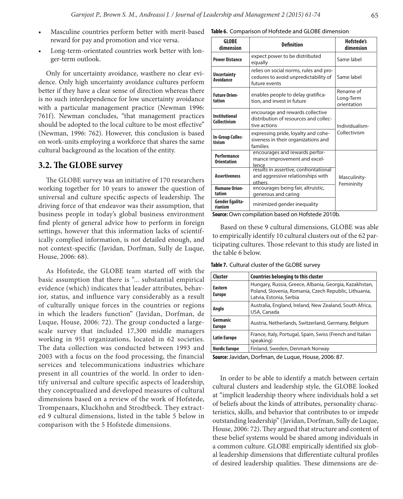- Masculine countries perform better with merit-based **Table 6.** Comparison of Hofstede and GLOBE dimension reward for pay and promotion and vice versa.
- Long-term-orientated countries work better with longer-term outlook.

Only for uncertainty avoidance, wasthere no clear evidence. Only high uncertainty avoidance cultures perform better if they have a clear sense of direction whereas there is no such interdependence for low uncertainty avoidance with a particular management practice (Newman 1996: 761f). Newman concludes, "that management practices should be adopted to the local culture to be most effective" (Newman, 1996: 762). However, this conclusion is based on work-units employing a workforce that shares the same cultural background as the location of the entity.

# **3.2. The GLOBE survey**

The GLOBE survey was an initiative of 170 researchers working together for 10 years to answer the question of universal and culture specific aspects of leadership. The driving force of that endeavor was their assumption, that business people in today's global business environment find plenty of general advice how to perform in foreign settings, however that this information lacks of scientifically complied information, is not detailed enough, and not context-specific (Javidan, Dorfman, Sully de Luque, House, 2006: 68).

As Hofstede, the GLOBE team started off with the basic assumption that there is "... substantial empirical evidence (which) indicates that leader attributes, behavior, status, and influence vary considerably as a result of culturally unique forces in the countries or regions in which the leaders function" (Javidan, Dorfman, de Luque, House, 2006: 72). The group conducted a largescale survey that included 17,300 middle managers working in 951 organizations, located in 62 societies. The data collection was conducted between 1993 and 2003 with a focus on the food processing, the financial services and telecommunications industries whichare present in all countries of the world. In order to identify universal and culture specific aspects of leadership, they conceptualized and developed measures of cultural dimensions based on a review of the work of Hofstede, Trompenaars, Kluckhohn and Strodtbeck. They extracted 9 cultural dimensions, listed in the table 5 below in comparison with the 5 Hofstede dimensions.

| <b>GLOBE</b><br>dimension                   | <b>Definition</b>                                                                               | <b>Hofstede's</b><br>dimension        |  |
|---------------------------------------------|-------------------------------------------------------------------------------------------------|---------------------------------------|--|
| <b>Power Distance</b>                       | expect power to be distributed<br>equally                                                       | Same label                            |  |
| <b>Uncertainty</b><br>Avoidance             | relies on social norms, rules and pro-<br>cedures to avoid unpredictability of<br>future events | Same label                            |  |
| <b>Future Orien-</b><br>tation              | enables people to delay gratifica-<br>tion, and invest in future                                | Rename of<br>Long-Term<br>orientation |  |
| <b>Institutional</b><br><b>Collectivism</b> | encourage and rewards collective<br>distribution of resources and collec-<br>tive actions       | Individualism-                        |  |
| In-Group Collec-<br>tivism                  | expressing pride, loyalty and cohe-<br>siveness in their organizations and<br>families          | Collectivism                          |  |
| Performance<br><b>Orientation</b>           | encourages and rewards perfor-<br>mance improvement and excel-<br>lence                         |                                       |  |
| <b>Assertiveness</b>                        | results in assertive, confrontational<br>and aggressive relationships with<br>others            | Masculinity-<br>Femininity            |  |
| <b>Humane Orien-</b><br>tation              | encourages being fair, altruistic,<br>generous and caring                                       |                                       |  |
| Gender Egalita-<br>rianism<br><b>C</b> 0.   | minimized gender inequality<br>the there has a called the fate she DO10k                        |                                       |  |

**Source:** Own compilation based on Hofstede 2010b.

Based on these 9 cultural dimensions, GLOBE was able to empirically identify 10 cultural clusters out of the 62 participating cultures. Those relevant to this study are listed in the table 6 below.

**Table 7.** Cultural cluster of the GLOBE survey

| <b>Cluster</b>                  | <b>Countries belonging to this cluster</b>                                                                                                 |
|---------------------------------|--------------------------------------------------------------------------------------------------------------------------------------------|
| <b>Eastern</b><br><b>Europe</b> | Hungary, Russia, Greece, Albania, Georgia, Kazakhstan,<br>Poland, Slovenia, Romania, Czech Republic, Lithuania,<br>Latvia, Estonia, Serbia |
| Anglo                           | Australia, England, Ireland, New Zealand, South Africa,<br>USA, Canada                                                                     |
| Germanic<br><b>Europe</b>       | Austria, Netherlands, Switzerland, Germany, Belgium                                                                                        |
| <b>Latin Europe</b>             | France, Italy, Portugal, Spain, Swiss (French and Italian<br>speaking)                                                                     |
| <b>Nordic Europe</b>            | Finland, Sweden, Denmark Norway                                                                                                            |

**Source:** Javidan, Dorfman, de Luque, House, 2006: 87.

In order to be able to identify a match between certain cultural clusters and leadership style, the GLOBE looked at "implicit leadership theory where individuals hold a set of beliefs about the kinds of attributes, personality characteristics, skills, and behavior that contributes to or impede outstanding leadership" (Javidan, Dorfman, Sully de Luque, House, 2006: 72). They argued that structure and content of these belief systems would be shared among individuals in a common culture. GLOBE empirically identified six global leadership dimensions that differentiate cultural profiles of desired leadership qualities. These dimensions are de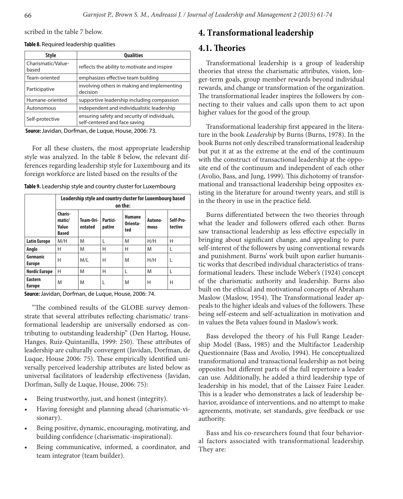scribed in the table 7 below.

#### **Table 8.** Required leadership qualities

| <b>Style</b>                | <b>Qualities</b>                                                              |
|-----------------------------|-------------------------------------------------------------------------------|
| Charismatic/Value-<br>based | reflects the ability to motivate and inspire                                  |
| Team-oriented               | emphasizes effective team building                                            |
| Participative               | involving others in making and implementing<br>decision                       |
| Humane-oriented             | supportive leadership including compassion                                    |
| Autonomous                  | independent and individualistic leadership                                    |
| Self-protective             | ensuring safety and security of individuals,<br>self-centered and face saving |

**Source:** Javidan, Dorfman, de Luque, House, 2006: 73.

For all these clusters, the most appropriate leadership style was analyzed. In the table 8 below, the relevant differences regarding leadership style for Luxembourg and its foreign workforce are listed based on the results of the

| Table 9. Leadership style and country cluster for Luxembourg |  |
|--------------------------------------------------------------|--|
|--------------------------------------------------------------|--|

|                                 | Leadership style and country cluster for Luxembourg based<br>on the: |                      |                    |                                  |                 |                      |  |  |  |  |
|---------------------------------|----------------------------------------------------------------------|----------------------|--------------------|----------------------------------|-----------------|----------------------|--|--|--|--|
|                                 | Charis-<br>matic/<br>Value<br><b>Based</b>                           | Team-Ori-<br>entated | Partici-<br>pative | <b>Humane</b><br>Orienta-<br>ted | Autono-<br>mous | Self-Pro-<br>tective |  |  |  |  |
| <b>Latin Europe</b>             | M/H                                                                  | M                    | L                  | M                                | H/H             | Н                    |  |  |  |  |
| Anglo                           | Н                                                                    | M                    | Н                  | н                                | M               | L                    |  |  |  |  |
| Germanic<br><b>Europe</b>       | Н                                                                    | M/L                  | Н                  | M                                | H/H             | L                    |  |  |  |  |
| <b>Nordic Europe</b>            | Н                                                                    | M                    | Н                  | L                                | M               | L                    |  |  |  |  |
| <b>Eastern</b><br><b>Europe</b> | M                                                                    | M                    | L                  | M                                | Н               | Н                    |  |  |  |  |

**Source:** Javidan, Dorfman, de Luque, House, 2006: 74.

"The combined results of the GLOBE survey demonstrate that several attributes reflecting charismatic/ transformational leadership are universally endorsed as contributing to outstanding leadership" (Den Hartog, House, Hanges, Ruiz-Quintanilla, 1999: 250). These attributes of leadership are culturally convergent (Javidan, Dorfman, de Luque, House 2006: 75). These empirically identified universally perceived leadership attributes are listed below as universal facilitators of leadership effectiveness (Javidan, Dorfman, Sully de Luque, House, 2006: 75):

- Being trustworthy, just, and honest (integrity).
- Having foresight and planning ahead (charismatic-visionary).
- Being positive, dynamic, encouraging, motivating, and building confidence (charismatic-inspirational).
- Being communicative, informed, a coordinator, and team integrator (team builder).

# **4. Transformational leadership**

# **4.1. Theories**

Transformational leadership is a group of leadership theories that stress the charismatic attributes, vision, longer-term goals, group member rewards beyond individual rewards, and change or transformation of the organization. The transformational leader inspires the followers by connecting to their values and calls upon them to act upon higher values for the good of the group.

Transformational leadership first appeared in the literature in the book *Leadership* by Burns (Burns, 1978). In the book Burns not only described transformational leadership but put it at as the extreme at the end of the continuum with the construct of transactional leadership at the opposite end of the continuum and independent of each other (Avolio, Bass, and Jung, 1999). This dichotomy of transformational and transactional leadership being opposites existing in the literature for around twenty years, and still is in the theory in use in the practice field.

Burns differentiated between the two theories through what the leader and followers offered each other. Burns saw transactional leadership as less effective especially in bringing about significant change, and appealing to pure self-interest of the followers by using conventional rewards and punishment. Burns' work built upon earlier humanistic works that described individual characteristics of transformational leaders. These include Weber's (1924) concept of the charismatic authority and leadership. Burns also built on the ethical and motivational concepts of Abraham Maslow (Maslow, 1954). The Transformational leader appeals to the higher ideals and values of the followers. These being self-esteem and self-actualization in motivation and in values the Beta values found in Maslow's work.

Bass developed the theory of his Full Range Leadership Model (Bass, 1985) and the Multifactor Leadership Questionnaire (Bass and Avolio, 1994). He conceptualized transformational and transactional leadership as not being opposites but different parts of the full repertoire a leader can use. Additionally, he added a third leadership type of leadership in his model, that of the Laissez Faire Leader. This is a leader who demonstrates a lack of leadership behavior, avoidance of interventions, and no attempt to make agreements, motivate, set standards, give feedback or use authority.

Bass and his co-researchers found that four behavioral factors associated with transformational leadership. They are: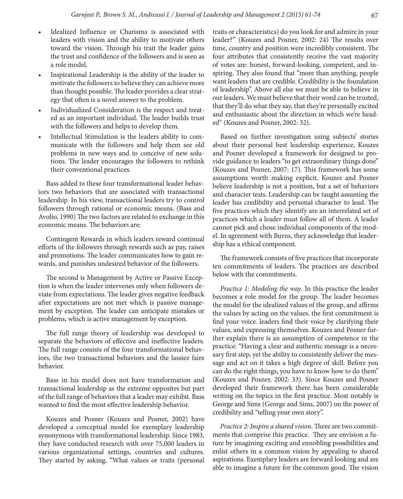- Idealized Influence or Charisma is associated with leaders with vision and the ability to motivate others toward the vision. Through his trait the leader gains the trust and confidence of the followers and is seen as a role model.
- Inspirational Leadership is the ability of the leader to motivate the followers to believe they can achieve more than thought possible. The leader provides a clear strategy that often is a novel answer to the problem.
- Individualized Consideration is the respect and treated as an important individual. The leader builds trust with the followers and helps to develop them.
- Intellectual Stimulation is the leaders ability to communicate with the followers and help them see old problems in new ways and to conceive of new solutions. The leader encourages the followers to rethink their conventional practices.

Bass added to these four transformational leader behaviors two behaviors that are associated with transactional leadership. In his view, transactional leaders try to control followers through rational or economic means. (Bass and Avolio, 1990) The two factors are related to exchange in this economic means. The behaviors are:

Contingent Rewards in which leaders reward continual efforts of the followers through rewards such as pay, raises and promotions. The leader communicates how to gain rewards, and punishes undesired behavior of the followers.

The second is Management by Active or Passive Exception is when the leader intervenes only when followers deviate from expectations. The leader gives negative feedback after expectations are not met which is passive management by exception. The leader can anticipate mistakes or problems, which is active management by exception.

The full range theory of leadership was developed to separate the behaviors of effective and ineffective leaders. The full range consists of the four transformational behaviors, the two transactional behaviors and the lassiez faire behavior.

Bass in his model does not have transformation and transactional leadership as the extreme opposites but part of the full range of behaviors that a leader may exhibit. Bass wanted to find the most effective leadership behavior.

Kouzes and Posner (Kouzes and Posner, 2002) have developed a conceptual model for exemplary leadership synonymous with transformational leadership. Since 1983, they have conducted research with over 75,000 leaders in various organizational settings, countries and cultures. They started by asking, "What values or traits (personal traits or characteristics) do you look for and admire in your leader?" (Kouzes and Posner, 2002: 24) The results over time, country and position were incredibly consistent. The four attributes that consistently receive the vast majority of votes are: honest, forward-looking, competent, and inspiring. They also found that "more than anything, people want leaders that are credible. Credibility is the foundation of leadership". Above all else we must be able to believe in our leaders. We must believe that their word can be trusted, that they'll do what they say, that they're personally excited and enthusiastic about the direction in which we're headed" (Kouzes and Posner, 2002: 32).

Based on further investigation using subjects' stories about their personal best leadership experience, Kouzes and Posner developed a framework for designed to provide guidance to leaders "to get extraordinary things done" (Kouzes and Posner, 2007: 17). This framework has some assumptions worth making explicit. Kouzes and Posner believe leadership is not a position, but a set of behaviors and character tests. Leadership can be taught assuming the leader has credibility and personal character to lead. The five practices which they identify are an interrelated set of practices which a leader must follow all of them. A leader cannot pick and chose individual components of the model. In agreement with Burns, they acknowledge that leadership has a ethical component.

The framework consists of five practices that incorporate ten commitments of leaders. The practices are described below with the commitments.

*Practice 1: Modeling the way*. In this practice the leader becomes a role model for the group. The leader becomes the model for the idealized values of the group, and affirms the values by acting on the values. the first commitment is find your voice. leaders find their voice by clarifying their values, and expressing themselves. Kouzes and Posner further explain there is an assumption of competence in the practice: "Having a clear and authentic message is a necessary first step, yet the ability to consistently deliver the message and act on it takes a high degree of skill. Before you can do the right things, you have to know how to do them" (Kouzes and Posner, 2002: 33). Since Kouzes and Posner developed their framework there has been considerable writing on the topics in the first practice. Most notably is George and Sims (George and Sims, 2007) on the power of credibility and "telling your own story".

*Practice 2: Inspire a shared vision*. There are two commitments that comprise this practice. They are envision a future by imagining exciting and ennobling possibilities and enlist others in a common vision by appealing to shared aspirations. Exemplary leaders are forward looking and are able to imagine a future for the common good. The vision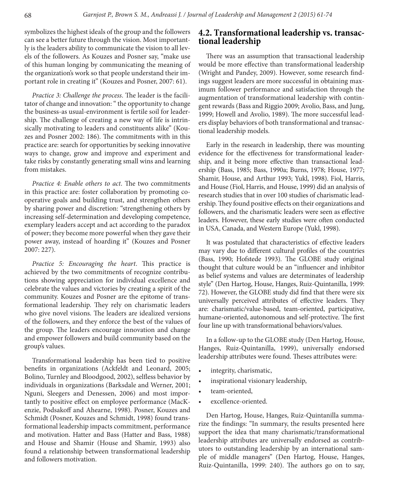symbolizes the highest ideals of the group and the followers can see a better future through the vision. Most importantly is the leaders ability to communicate the vision to all levels of the followers. As Kouzes and Posner say, "make use of this human longing by communicating the meaning of the organization's work so that people understand their important role in creating it" (Kouzes and Posner, 2007: 61).

*Practice 3: Challenge the process*. The leader is the facilitator of change and innovation: " the opportunity to change the business-as usual-environment is fertile soil for leadership. The challenge of creating a new way of life is intrinsically motivating to leaders and constituents alike" (Kouzes and Posner 2002: 186). The commitments with in this practice are: search for opportunities by seeking innovative ways to change, grow and improve and experiment and take risks by constantly generating small wins and learning from mistakes.

*Practice 4: Enable others to act*. The two commitments in this practice are: foster collaboration by promoting cooperative goals and building trust, and strengthen others by sharing power and discretion: "strengthening others by increasing self-determination and developing competence, exemplary leaders accept and act according to the paradox of power; they become more powerful when they gave their power away, instead of hoarding it" (Kouzes and Posner 2007: 227).

*Practice 5: Encouraging the heart*. This practice is achieved by the two commitments of recognize contributions showing appreciation for individual excellence and celebrate the values and victories by creating a spirit of the community. Kouzes and Posner are the epitome of transformational leadership. They rely on charismatic leaders who give novel visions. The leaders are idealized versions of the followers, and they enforce the best of the values of the group. The leaders encourage innovation and change and empower followers and build community based on the group's values.

Transformational leadership has been tied to positive benefits in organizations (Ackfeldt and Leonard, 2005; Bolino, Turnley and Bloodgood, 2002), selfless behavior by individuals in organizations (Barksdale and Werner, 2001; Nguni, Sleegers and Denessen, 2006) and most importantly to positive effect on employee performance (MacKenzie, Podsakoff and Ahearne, 1998). Posner, Kouzes and Schmidt (Posner, Kouzes and Schmidt, 1998) found transformational leadership impacts commitment, performance and motivation. Hatter and Bass (Hatter and Bass, 1988) and House and Shamir (House and Shamir, 1993) also found a relationship between transformational leadership and followers motivation.

# **4.2. Transformational leadership vs. transac- tional leadership**

There was an assumption that transactional leadership would be more effective than transformational leadership (Wright and Pandey, 2009). However, some research findings suggest leaders are more successful in obtaining maximum follower performance and satisfaction through the augmentation of transformational leadership with contingent rewards (Bass and Riggio 2009; Avolio, Bass, and Jung, 1999; Howell and Avolio, 1989). The more successful leaders display behaviors of both transformational and transactional leadership models.

Early in the research in leadership, there was mounting evidence for the effectiveness for transformational leadership, and it being more effective than transactional leadership (Bass, 1985; Bass, 1990a; Burns, 1978; House, 1977; Shamir, House, and Arthur 1993; Yukl, 1998). Fiol, Harris, and House (Fiol, Harris, and House, 1999) did an analysis of research studies that in over 100 studies of charismatic leadership. They found positive effects on their organizations and followers, and the charismatic leaders were seen as effective leaders. However, these early studies were often conducted in USA, Canada, and Western Europe (Yukl, 1998).

It was postulated that characteristics of effective leaders may vary due to different cultural profiles of the countries (Bass, 1990; Hofstede 1993). The GLOBE study original thought that culture would be an "influencer and inhibitor as belief systems and values are determinates of leadership style" (Den Hartog, House, Hanges, Ruiz-Quintanilla, 1999: 72). However, the GLOBE study did find that there were six universally perceived attributes of effective leaders. They are: charismatic/value-based, team-oriented, participative, humane-oriented, autonomous and self-protective. The first four line up with transformational behaviors/values.

In a follow-up to the GLOBE study (Den Hartog, House, Hanges, Ruiz-Quintanilla, 1999), universally endorsed leadership attributes were found. Theses attributes were:

- integrity, charismatic,
- inspirational visionary leadership,
- team-oriented,
- excellence-oriented.

Den Hartog, House, Hanges, Ruiz-Quintanilla summarize the findings: "In summary, the results presented here support the idea that many charismatic/transformational leadership attributes are universally endorsed as contributors to outstanding leadership by an international sample of middle managers" (Den Hartog, House, Hanges, Ruiz-Quintanilla, 1999: 240). The authors go on to say,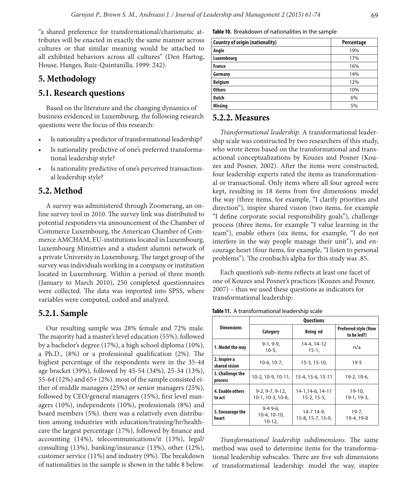"a shared preference for transformational/charismatic attributes will be enacted in exactly the same manner across cultures or that similar meaning would be attached to all exhibited behaviors across all cultures" (Den Hartog, House, Hanges, Ruiz-Quintanilla, 1999: 242).

# **5. Methodology**

# **5.1. Research questions**

Based on the literature and the changing dynamics of business evidenced in Luxembourg, the following research questions were the focus of this research:

- Is nationality a predictor of transformational leadership?
- Is nationality predictive of one's preferred transformational leadership style?
- Is nationality predictive of one's perceived transactional leadership style?

# **5.2. Method**

A survey was administered through Zoomerang, an online survey tool in 2010. The survey link was distributed to potential responders via announcement of the Chamber of Commerce Luxembourg, the American Chamber of Commerce AMCHAM, EU-institutions located in Luxembourg, Luxembourg Ministries and a student alumni network of a private University in Luxembourg. The target group of the survey was individuals working in a company or institution located in Luxembourg. Within a period of three month (January to March 2010), 250 completed questionnaires were collected. The data was imported into SPSS, where variables were computed, coded and analyzed.

#### **5.2.1. Sample**

Our resulting sample was 28% female and 72% male. The majority had a master's level education (55%), followed by a bachelor's degree (17%), a high school diploma (10%), a Ph.D., (8%) or a professional qualification (2%). The highest percentage of the respondents were in the 35-44 age bracket (39%), followed by 45-54 (34%), 25-34 (13%), 55-64 (12%) and 65+ (2%). most of the sample consisted either of middle managers (25%) or senior managers (25%), followed by CEO/general managers (15%), first level managers (10%), independents (10%), professionals (8%) and board members (5%). there was a relatively even distribution among industries with education/training/hr/healthcare the largest percentage (17%), followed by finance and accounting (14%), telecommunications/it (13%), legal/ consulting (13%), banking/insurance (13%), other (12%), customer service (11%) and industry (9%). The breakdown of nationalities in the sample is shown in the table 8 below.

**Table 10.** Breakdown of nationalities in the sample

| <b>Country of origin (nationality)</b> | Percentage |
|----------------------------------------|------------|
| Anglo                                  | 19%        |
| Luxembourg                             | 17%        |
| <b>France</b>                          | 16%        |
| Germany                                | 14%        |
| <b>Belgium</b>                         | 12%        |
| <b>Others</b>                          | 10%        |
| <b>Dutch</b>                           | 6%         |
| <b>Missing</b>                         | 5%         |

## **5.2.2. Measures**

*Transformational leadership*. A transformational leadership scale was constructed by two researchers of this study, who wrote items based on the transformational and transactional conceptualizations by Kouzes and Posner (Kouzes and Posner, 2002). After the items were constructed, four leadership experts rated the items as transformational or transactional. Only items where all four agreed were kept, resulting in 18 items from five dimensions: model the way (three items, for example, "I clarify priorities and direction"), inspire shared vision (two items, for example "I define corporate social responsibility goals"), challenge process (three items, for example "I value learning in the team"), enable others (six items, for example, "I do not interfere in the way people manage their unit"), and encourage heart (four items, for example, "I listen to personal problems"). The cronbach's alpha for this study was .85.

Each question's sub-items reflects at least one facet of one of Kouzes and Posner's practices (Kouzes and Posner, 2007) – thus we used these questions as indicators for transformational leadership:

**Table 11.** A transformational leadership scale

|                               | <b>Questions</b>                       |                                            |                          |  |  |  |  |  |  |
|-------------------------------|----------------------------------------|--------------------------------------------|--------------------------|--|--|--|--|--|--|
| <b>Dimensions</b>             | Category                               | <b>Preferred style (How</b><br>to be led?) |                          |  |  |  |  |  |  |
| 1. Model the way              | $9-1, 9-9,$<br>$10-5.$                 | 14-4, 14-12<br>$15 - 1.$                   | n/a                      |  |  |  |  |  |  |
| 2. Inspire a<br>shared vision | $10-6, 10-7,$                          | $15-3, 15-10,$                             | $19 - 5$                 |  |  |  |  |  |  |
| 3. Challenge the<br>process   | 10-2, 10-9, 10-11,                     | 15-4, 15-6, 15-11                          | 19-2, 19-6,              |  |  |  |  |  |  |
| 4. Enable others<br>to act    | $9-2, 9-7, 9-12,$<br>10-1, 10-3, 10-8, | 14-1,14-6, 14-11<br>$15 - 2.15 - 5.$       | $19-10.$<br>$19-1.19-3.$ |  |  |  |  |  |  |
| 5. Encourage the<br>heart     | $9-49-6.$<br>10-4, 10-10,<br>$10-12,$  | 14-7 14-9,<br>15-8, 15-7, 15-9,            | 19-7,<br>19-4, 19-8      |  |  |  |  |  |  |

*Transformational leadership subdimensions*. The same method was used to determine items for the transformational leadership subscales. There are five sub dimensions of transformational leadership: model the way, inspire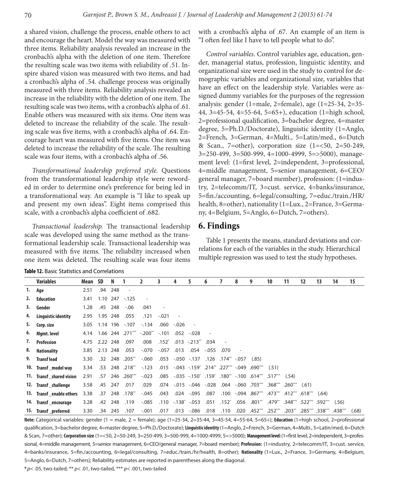a shared vision, challenge the process, enable others to act and encourage the heart. Model the way was measured with three items. Reliability analysis revealed an increase in the cronbach's alpha with the deletion of one item. Therefore the resulting scale was two items with reliability of .51. Inspire shared vision was measured with two items, and had a cronbach's alpha of .54. challenge process was originally measured with three items. Reliability analysis revealed an increase in the reliability with the deletion of one item. The resulting scale was two items, with a cronbach's alpha of .61. Enable others was measured with six items. One item was deleted to increase the reliability of the scale. The resulting scale was five items, with a cronbach's alpha of .64. Encourage heart was measured with five items. One item was deleted to increase the reliability of the scale. The resulting scale was four items, with a cronbach's alpha of .56.

*Transformational leadership preferred style.* Questions from the transformational leadership style were reworded in order to determine one's preference for being led in a transformational way. An example is "I like to speak up and present my own ideas". Eight items comprised this scale, with a cronbach's alpha coefficient of .682.

*Transactional leadership.* The transactional leadership scale was developed using the same method as the transformational leadership scale. Transactional leadership was measured with five items. The reliability increased when one item was deleted. The resulting scale was four items

with a cronbach's alpha of .67. An example of an item is "I often feel like I have to tell people what to do".

*Control variables*. Control variables age, education, gender, managerial status, profession, linguistic identity, and organizational size were used in the study to control for demographic variables and organizational size, variables that have an effect on the leadership style. Variables were assigned dummy variables for the purposes of the regression analysis: gender (1=male, 2=female), age (1=25-34, 2=35- 44, 3=45-54, 4=55-64, 5=65+), education (1=high school, 2=professional qualification, 3=bachelor degree, 4=master degree, 5=Ph.D./Doctorate), linguistic identity (1=Anglo, 2=French, 3=German, 4=Multi., 5=Latin/med., 6=Dutch & Scan., 7=other), corporation size (1=<50, 2=50-249, 3=250-499, 3=500-999, 4=1000-4999, 5=>5000), management level: (1=first level, 2=independent, 3=professional, 4=middle management, 5=senior management, 6=CEO/ general manager, 7=board member), profession: (1=industry, 2=telecomm/IT, 3=cust. service, 4=banks/insurance, 5=fin./accounting, 6=legal/consulting, 7=educ./train./HR/ health, 8=other), nationality (1=Lux., 2=France, 3=Germany, 4=Belgium, 5=Anglo, 6=Dutch, 7=others).

### **6. Findings**

Table 1 presents the means, standard deviations and correlations for each of the variables in the study. Hierarchical multiple regression was used to test the study hypotheses.

|    | <b>Variables</b>         | Mean SD |          | N       |                | 2                              | 3       | 4                      | 5                      | 6        |                          | 8    | 9                                                      | 10                 | 11    | 12                      | 13                      | 14    | 15    |
|----|--------------------------|---------|----------|---------|----------------|--------------------------------|---------|------------------------|------------------------|----------|--------------------------|------|--------------------------------------------------------|--------------------|-------|-------------------------|-------------------------|-------|-------|
| 1. | Age                      | 2.51    | .94      | 248     |                |                                |         |                        |                        |          |                          |      |                                                        |                    |       |                         |                         |       |       |
| 2. | Education                | 3.41    |          |         | 1.10 247 -.125 |                                |         |                        |                        |          |                          |      |                                                        |                    |       |                         |                         |       |       |
| 3. | Gender                   | 1.28    |          | .45 248 | $-0.06$        | .041                           |         |                        |                        |          |                          |      |                                                        |                    |       |                         |                         |       |       |
| 4. | Linguistic identity      | 2.95    | 1.95 248 |         | .055           | .121                           | $-.021$ |                        |                        |          |                          |      |                                                        |                    |       |                         |                         |       |       |
| 5. | Corp. size               | 3.05    |          |         | 1.14 196 -.107 | $-134$                         | .060    | $-.026$                |                        |          |                          |      |                                                        |                    |       |                         |                         |       |       |
| 6. | Mgmt. level              | 4.14    |          |         |                | 1.66 244 .271*** -.200** -.101 |         | .052                   | $-.028$                |          |                          |      |                                                        |                    |       |                         |                         |       |       |
| 7. | <b>Profession</b>        | 4.75    | 2.22 248 |         | .097           | .008                           | $.152*$ |                        | $.013 - .213$ " $.034$ |          | $\overline{\phantom{a}}$ |      |                                                        |                    |       |                         |                         |       |       |
| 8. | <b>Nationality</b>       | 3.85    | 2.13     | 248     | .053           | $-.070$                        | $-.057$ | .013                   | .054                   | $-0.055$ | .070                     |      |                                                        |                    |       |                         |                         |       |       |
| 9. | <b>Transflead</b>        | 3.30    | .32      | 248     | $.205***$      | $-.060$                        |         |                        | .053 -.050 -.137       |          | .126 .174** -.057        |      | (.85)                                                  |                    |       |                         |                         |       |       |
|    | 10. Transf _model way    | 3.34    | .53      |         | 248.218**      | $-123$                         |         |                        |                        |          |                          |      | .015 .043 .159 .214 .227  "27. "015 .043 .015".        | (.51)              |       |                         |                         |       |       |
|    | 11. Transf shared vision | 2.91    | .57      | 246     | $.260***$      | $-.023$                        | .085    |                        |                        |          |                          |      | -.035 -.150 159 180 -.100 -.035 -.035 -.035            |                    | (.54) |                         |                         |       |       |
|    | 12. Transf challenge     | 3.58    | .45      | 247     | .017           | .029                           |         |                        | .074 -.015 -.046 -.028 |          |                          |      | .061) ""260. ""368. ""050. 060. 064.                   |                    |       |                         |                         |       |       |
|    | 13. Transf enable others | 3.38    | .37      |         | 178**          | $-.045$                        | .043    |                        | .024 -.095             | .087     | .100                     |      | $-.094$ $.867***$ $.473***$ $.412***$ $.618***$ $.64)$ |                    |       |                         |                         |       |       |
|    | 14. Transf encourage     | 3.28    | .42      | 248     | .119           | $-.085$                        |         | $.110 - .138^* - .053$ |                        | .051     | $.152^{*}$               | .056 | $.801^{**}$                                            | .479**             |       | .348*** .522*** .592*** |                         | (.56) |       |
|    | 15. Transf preferred     | 3.30    | .34      | 245     | .107           | $-.001$                        | .017    | .013                   | -.086                  | .018     | .110                     | .020 | $.452***$                                              | $.252***$ $.203**$ |       |                         | .285*** .338*** .438*** |       | (.68) |

**Table 12.** Basic Statistics and Correlations

**Note:** Categorical variables: gender (1 = male, 2 = female); age (1=25-34, 2=35-44, 3=45-54, 4=55-64, 5=65+); **Education** (1=high school, 2=professional qualification, 3=bachelor degree, 4=master degree, 5=Ph.D./Doctorate); **Linguistic identity** (1=Anglo, 2=French, 3=German, 4=Multi., 5=Latin/med, 6=Dutch & Scan, 7=other); **Corporation size** (1=<50, 2=50-249, 3=250-499, 3=500-999, 4=1000-4999, 5=>5000); **Management level:** (1=first level, 2=independent, 3=professional, 4=middle management, 5=senior management, 6=CEO/general manager, 7=board member); **Profession:** (1=industry, 2=telecomm/IT, 3=cust. service, 4=banks/insurance, 5=fin./accounting, 6=legal/consulting, 7=educ./train./hr/health, 8=other); **Nationality** (1=Lux., 2=France, 3=Germany, 4=Belgium, 5=Anglo, 6=Dutch, 7=others); Reliability estimates are reported in parentheses along the diagonal.

**\*** *p*< .05, two-tailed; \*\* *p*< .01, two-tailed, \*\*\* *p*< .001, two-tailed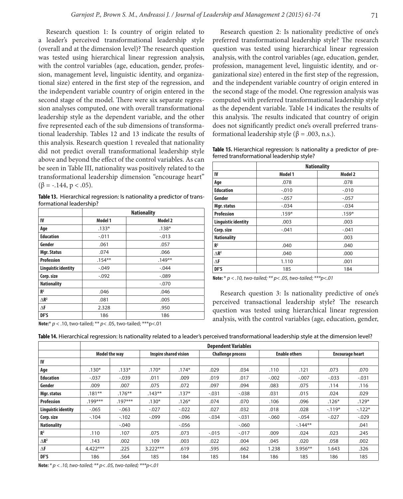Research question 1: Is country of origin related to a leader's perceived transformational leadership style (overall and at the dimension level)? The research question was tested using hierarchical linear regression analysis, with the control variables (age, education, gender, profession, management level, linguistic identity, and organizational size) entered in the first step of the regression, and the independent variable country of origin entered in the second stage of the model. There were six separate regression analyses computed, one with overall transformational leadership style as the dependent variable, and the other five represented each of the sub dimensions of transformational leadership. Tables 12 and 13 indicate the results of this analysis. Research question 1 revealed that nationality did not predict overall transformational leadership style above and beyond the effect of the control variables. As can be seen in Table III, nationality was positively related to the transformational leadership dimension "encourage heart"  $(\beta = -.144, p < .05)$ .

**Table 13.** Hierarchical regression: Is nationality a predictor of transformational leadership?

|                            | <b>Nationality</b> |          |  |  |  |  |  |  |
|----------------------------|--------------------|----------|--|--|--|--|--|--|
| IV                         | Model 1            | Model 2  |  |  |  |  |  |  |
| Age                        | $.133*$            | $.138*$  |  |  |  |  |  |  |
| <b>Education</b>           | $-.011$            | $-.013$  |  |  |  |  |  |  |
| Gender                     | .061               | .057     |  |  |  |  |  |  |
| Mgr. Status                | .074               | .066     |  |  |  |  |  |  |
| <b>Profession</b>          | $.154**$           | $.149**$ |  |  |  |  |  |  |
| <b>Linguistic identity</b> | $-.049$            | $-.044$  |  |  |  |  |  |  |
| Corp. size                 | $-.092$            | $-.089$  |  |  |  |  |  |  |
| <b>Nationality</b>         |                    | $-.070$  |  |  |  |  |  |  |
| R <sup>2</sup>             | .046               | .046     |  |  |  |  |  |  |
| $\triangle$ R <sup>2</sup> | .081               | .005     |  |  |  |  |  |  |
| $\Delta$ F                 | 2.328              | .950     |  |  |  |  |  |  |
| DF'S                       | 186                | 186      |  |  |  |  |  |  |

**Note:**\* *p* < .10, two-tailed; \*\* *p*< .05, two-tailed; \*\*\*p<.01

Research question 2: Is nationality predictive of one's preferred transformational leadership style? The research question was tested using hierarchical linear regression analysis, with the control variables (age, education, gender, profession, management level, linguistic identity, and organizational size) entered in the first step of the regression, and the independent variable country of origin entered in the second stage of the model. One regression analysis was computed with preferred transformational leadership style as the dependent variable. Table 14 indicates the results of this analysis. The results indicated that country of origin does not significantly predict one's overall preferred transformational leadership style (β = .003, n.s.).

**Table 15.** Hierarchical regression: Is nationality a predictor of preferred transformational leadership style?

|                            |         | <b>Nationality</b> |  |  |  |
|----------------------------|---------|--------------------|--|--|--|
| IV                         | Model 1 | Model 2            |  |  |  |
| Age                        | .078    | .078               |  |  |  |
| <b>Education</b>           | $-.010$ | $-.010$            |  |  |  |
| Gender                     | $-.057$ | $-.057$            |  |  |  |
| Mgr. status                | $-.034$ | $-.034$            |  |  |  |
| <b>Profession</b>          | $.159*$ | $.159*$            |  |  |  |
| <b>Linguistic identity</b> | .003    | .003               |  |  |  |
| Corp. size                 | $-.041$ | $-.041$            |  |  |  |
| <b>Nationality</b>         |         | .003               |  |  |  |
| R <sup>2</sup>             | .040    | .040               |  |  |  |
| $\Lambda$ <sup>2</sup>     | .040    | .000               |  |  |  |
| $\Delta$ F                 | 1.110   | .001               |  |  |  |
| DF'S                       | 185     | 184                |  |  |  |

**Note:** \* *p < .10, two-tailed; \*\* p< .05, two-tailed; \*\*\*p<.01*

Research question 3: Is nationality predictive of one's perceived transactional leadership style? The research question was tested using hierarchical linear regression analysis, with the control variables (age, education, gender,

|  |  | <b>Table 14.</b> Hierarchical regression: Is nationality related to a leader's perceived transformational leadership style at the dimension level? |
|--|--|----------------------------------------------------------------------------------------------------------------------------------------------------|
|--|--|----------------------------------------------------------------------------------------------------------------------------------------------------|

|                            | <b>Dependent Variables</b> |           |            |                              |         |                          |         |                      |                        |          |
|----------------------------|----------------------------|-----------|------------|------------------------------|---------|--------------------------|---------|----------------------|------------------------|----------|
|                            | <b>Model the way</b>       |           |            | <b>Inspire shared vision</b> |         | <b>Challenge process</b> |         | <b>Enable others</b> | <b>Encourage heart</b> |          |
| IV                         |                            |           |            |                              |         |                          |         |                      |                        |          |
| Age                        | $.130*$                    | $.133*$   | $.170*$    | $.174*$                      | .029    | .034                     | .110    | .121                 | .073                   | .070     |
| <b>Education</b>           | $-.037$                    | $-.039$   | .011       | .009                         | .019    | .017                     | $-.002$ | $-.007$              | $-0.033$               | $-.031$  |
| Gender                     | .009                       | .007      | .075       | .072                         | .097    | .094                     | .083    | .075                 | .114                   | .116     |
| Mgr. status                | $.181***$                  | $.176***$ | $.143***$  | $.137*$                      | $-.031$ | $-0.038$                 | .031    | .015                 | .024                   | .029     |
| <b>Profession</b>          | $.199***$                  | $.197***$ | $.130*$    | $.126*$                      | .074    | .070                     | .106    | .096                 | $.126*$                | $.129*$  |
| Linguistic identity        | $-0.065$                   | $-0.063$  | $-.027$    | $-.022$                      | .027    | .032                     | .018    | .028                 | $-119*$                | $-122*$  |
| Corp. size                 | $-104$                     | $-102$    | $-.099$    | $-.096$                      | $-.034$ | $-.031$                  | $-060$  | $-0.054$             | $-.027$                | $-0.029$ |
| <b>Nationality</b>         |                            | $-.040$   |            | $-0.056$                     |         | $-060$                   |         | $-144**$             |                        | .041     |
| R <sup>2</sup>             | .110                       | .107      | .075       | .073                         | $-.015$ | $-.017$                  | .009    | .024                 | .023                   | .245     |
| $\triangle$ R <sup>2</sup> | .143                       | .002      | .109       | .003                         | .022    | .004                     | .045    | .020                 | .058                   | .002     |
| $\Delta$ F                 | $4.422***$                 | .225      | $3.222***$ | .619                         | .595    | .662                     | 1.238   | $3.956**$            | 1.643                  | .326     |
| DF'S                       | 186                        | .564      | 185        | 184                          | 185     | 184                      | 186     | 185                  | 186                    | 185      |

**Note:** *\* p < .10, two-tailed; \*\* p< .05, two-tailed; \*\*\*p<.01*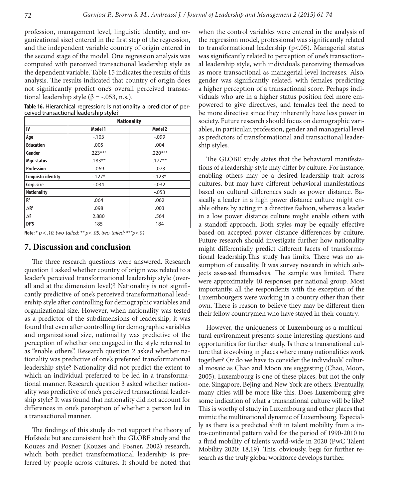profession, management level, linguistic identity, and organizational size) entered in the first step of the regression, and the independent variable country of origin entered in the second stage of the model. One regression analysis was computed with perceived transactional leadership style as the dependent variable. Table 15 indicates the results of this analysis. The results indicated that country of origin does not significantly predict one's overall perceived transactional leadership style (β = -.053, n.s.).

**Table 16.** Hierarchical regression: Is nationality a predictor of perceived transactional leadership style?

|                            | <b>Nationality</b> |           |  |  |  |  |  |  |
|----------------------------|--------------------|-----------|--|--|--|--|--|--|
| IV                         | Model 1            | Model 2   |  |  |  |  |  |  |
| Age                        | $-103$             | $-0.099$  |  |  |  |  |  |  |
| <b>Education</b>           | .005               | .004      |  |  |  |  |  |  |
| Gender                     | $.223***$          | $.220***$ |  |  |  |  |  |  |
| Mgr. status                | $.183***$          | $.177***$ |  |  |  |  |  |  |
| <b>Profession</b>          | $-0.069$           | $-.073$   |  |  |  |  |  |  |
| <b>Linguistic identity</b> | $-127*$            | $-123*$   |  |  |  |  |  |  |
| Corp. size                 | $-.034$            | $-0.032$  |  |  |  |  |  |  |
| <b>Nationality</b>         |                    | $-0.053$  |  |  |  |  |  |  |
| R <sup>2</sup>             | .064               | .062      |  |  |  |  |  |  |
| $\triangle$ R <sup>2</sup> | .098               | .003      |  |  |  |  |  |  |
| $\Delta$ F                 | 2.880              | .564      |  |  |  |  |  |  |
| DF'S                       | 185                | 184       |  |  |  |  |  |  |

**Note:** \* *p < .10, two-tailed; \*\* p< .05, two-tailed; \*\*\*p<.01*

### **7. Discussion and conclusion**

The three research questions were answered. Research question 1 asked whether country of origin was related to a leader's perceived transformational leadership style (overall and at the dimension level)? Nationality is not significantly predictive of one's perceived transformational leadership style after controlling for demographic variables and organizational size. However, when nationality was tested as a predictor of the subdimensions of leadership, it was found that even after controlling for demographic variables and organizational size, nationality was predictive of the perception of whether one engaged in the style referred to as "enable others". Research question 2 asked whether nationality was predictive of one's preferred transformational leadership style? Nationality did not predict the extent to which an individual preferred to be led in a transformational manner. Research question 3 asked whether nationality was predictive of one's perceived transactional leadership style? It was found that nationality did not account for differences in one's perception of whether a person led in a transactional manner.

The findings of this study do not support the theory of Hofstede but are consistent both the GLOBE study and the Kouzes and Posner (Kouzes and Posner, 2002) research, which both predict transformational leadership is preferred by people across cultures. It should be noted that

when the control variables were entered in the analysis of the regression model, professional was significantly related to transformational leadership (p<.05). Managerial status was significantly related to perception of one's transactional leadership style, with individuals perceiving themselves as more transactional as managerial level increases. Also, gender was significantly related, with females predicting a higher perception of a transactional score. Perhaps individuals who are in a higher status position feel more empowered to give directives, and females feel the need to be more directive since they inherently have less power in society. Future research should focus on demographic variables, in particular, profession, gender and managerial level as predictors of transformational and transactional leadership styles.

The GLOBE study states that the behavioral manifestations of a leadership style may differ by culture. For instance, enabling others may be a desired leadership trait across cultures, but may have different behavioral manifestations based on cultural differences such as power distance. Basically a leader in a high power distance culture might enable others by acting in a directive fashion, whereas a leader in a low power distance culture might enable others with a standoff approach. Both styles may be equally effective based on accepted power distance differences by culture. Future research should investigate further how nationality might differentially predict different facets of transformational leadership.This study has limits. There was no assumption of causality. It was survey research in which subjects assessed themselves. The sample was limited. There were approximately 40 responses per national group. Most importantly, all the respondents with the exception of the Luxembourgers were working in a country other than their own. There is reason to believe they may be different then their fellow countrymen who have stayed in their country.

However, the uniqueness of Luxembourg as a multicultural environment presents some interesting questions and opportunities for further study. Is there a transnational culture that is evolving in places where many nationalities work together? Or do we have to consider the individuals' cultural mosaic as Chao and Moon are suggesting (Chao, Moon, 2005). Luxembourg is one of these places, but not the only one. Singapore, Bejing and New York are others. Eventually, many cities will be more like this. Does Luxembourg give some indication of what a transnational culture will be like? This is worthy of study in Luxembourg and other places that mimic the multinational dynamic of Luxembourg. Especially as there is a predicted shift in talent mobility from a intra-continental pattern valid for the period of 1990-2010 to a fluid mobility of talents world-wide in 2020 (PwC Talent Mobility 2020: 18,19). This, obviously, begs for further research as the truly global workforce develops further.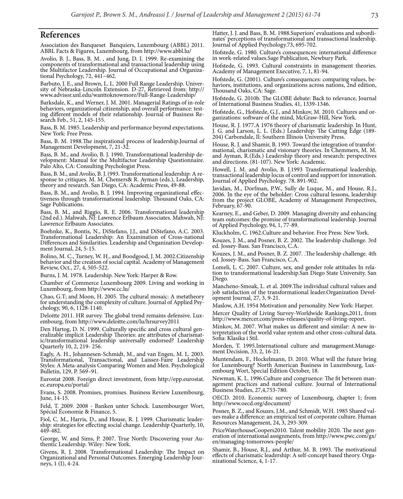#### **References**

Association des Banqueset Banquiers, Luxembourg (ABBL) 2011. ABBL Facts & Figures, Luxembourg, from http://www.abbl.lu/

Avolio, B. J., Bass, B. M. , and Jung, D. I. 1999. Re-examining the components of transformational and transactional leadership using the Multifactor Leadership. Journal of Occupational and Organiza- tional Psychology, 72, 441–462.

Barbuto, J. E., and Brown, L. L. 2000 Full Range Leadership. Univer- sity of Nebraska-Lincoln Extension. D-27, Retrieved from: http:// www.advisor.unl.edu/wanttoknowmore/Full-Range-Leadership/

Barksdale, K., and Werner, J. M. 2001. Managerial Ratings of in-role ing different models of their relationship. Journal of Business Research Feb., 51, 2, 145-155.

Bass, B. M. 1985. Leadership and performance beyond expectations. New York: Free Press.

Bass, B. M. 1988.The inspirational process of leadership.Journal of Management Development, 7, 21-32.

Bass, B. M., and Avolio, B. J. 1990. Transformational leadership de- velopment: Manual for the Multifactor Leadership Questionnaire. Palo Alto, CA: Consulting Psychologist Press.

Bass, B. M., and Avolio, B. J. (993. Transformational leadership: A re- sponse to critiques. M. M. Chemers& R. Ayman (eds.), Leadership, theory and research. San Diego, CA: Academic Press, 49-88.

Bass, B. M., and Avolio, B. J. 1994. Improving organizational effec- tiveness through transformational leadership. Thousand Oaks, CA: Sage Publications.

Bass, B. M., and Riggio, R. E. 2006. Transformational leadership (2nd ed.). Mahwah, NJ: Lawrence Erlbaum Associates. Mahwah, NJ: Lawrence Erlbaum Associates.

Boehnke, K., Bontis, N., DiStefano, J.J., and DiStefano, A.C. 2003. Transformational Leadership: An Examination of Cross-national Differences and Similarities. Leadership and Organization Develop- ment Journal, 24, 5-15.

Bolino, M. C., Turney, W. H., and Boodgood, J. M. 2002.Citizenship behavior and the creation of social capital. Academy of Management Review, Oct., 27, 4, 505-522.

Burns, J. M. 1978. Leadership. New York: Harper & Row.

Chamber of Commerce Luxembourg 2009. Living and working in Luxembourg, from http://www.cc.lu/

Chao, G.T; and Moon, H. 2005. The cultural mosaic: A metatheory for understanding the complexity of culture. Journal of Applied Psy- chology, 90, 6, 1128-1140.

Deloitte 2011. HR survey. The global trend remains defensive. Lux- embourg, from http://www.deloitte.com/lu/hrsurvey2011

Den Hartog, D. N. 1999. Culturally specific and cross cultural generalizable implicit Leadership Theories: are attributes of charismatic/transformational leadership universally endorsed? Leadership Quarterly 10, 2, 219- 256.

Eagly, A. H., Johannesen-Schmidt, M., and van Engen, M. L. 2003. Transformational, Transactional, and Laissez-Faire Leadership Styles: A Meta-analysis Comparing Women and Men. Psychological Bulletin, 129, P. 569–91.

Eurostat 2008. Foreign direct investment, from http://epp.eurostat. ec.europa.eu/portal/

Evans, S. 2008. Promises, promises. Business Review Luxembourg, June, 14-15.

Feld, T. 2009. 2008 - Banken unter Schock. Luxembourger Wort, Spécial Économie & Finance, 5.

Fiol, C. M., Harris, D., and House, R. J. 1999. Charismatic leader- ship: strategies for effecting social change. Leadership Quarterly, 10, 449-482.

George, W. and Sims, P. 2007. True North: Discovering your Au- thentic Leadership. Wiley: New York.

Givens, R. J. 2008. Transformational Leadership: The Impact on Organizational and Personal Outcomes. Emerging Leadership Jour- neys, 1 (I), 4-24.

Hatter, J. J. and Bass, B. M. 1988.Superiors' evaluations and subordi- nates' perceptions of transformational and transactional leadership. Journal of Applied Psychology.73, 695-702.

Hofstede, G. 1980. Culture's consequences: international difference in work-related values.Sage Publication, Newbury Park.

Hofstede, G. 1993. Cultural constraints in management theories. Academy of Management Executive, 7, 1, 81-94.

Hofstede, G. (2001). Culture's consequences: comparing values, be- haviors, institutions, and organizations across nations, 2nd edition, Thousand Oaks, CA: Sage.

Hofstede, G. 2010b. The GLOBE debate: Back to relevance, Journal of International Business Studies, 41, 1339-1346.

Hofstede, G., Hofstede, G.J., and Minkov, M. 2010. Cultures and or- ganizations: software of the mind, McGraw-Hill, New York.

House, R. J. 1977.A 1976 theory of charismatic leadership. In Hunt, J. G. and Larson, L. L. (Eds.) Leadership: The Cutting Edge (189- 204) Carbondale, Il: Southern Illinois University Press.

House, R. J. and Shamir, B. 1993. Toward the integration of transfor- mational, charismatic and visionary theories. In Chemmers, M. M. and Ayman, R.(Eds.) Leadership theory and research: perspectives and directions. (81-107). New York: Academic.

Howell, J. M. and Avolio, B. J.1993 Transformational leadership, transactional leadership locus of control and support for innovation. Journal of Applied Psychology. 78. 891-902.

Javidan, M., Dorfman, P.W., Sully de Luque, M., and House, R.J., 2006. In the eye of the beholder: Cross cultural lessons, leadership from the project GLOBE, Academy of Management Perspectives, February, 67-90.

Kearney, E., and Geber, D. 2009. Managing diversity and enhancing team outcomes: the promise of transformational leadership. Journal of Applied Psychology, 94, 1, 77-89.

Kluckholm, C. 1962.Culture and behavior. Free Press: New York.

Kouzes, J. M., and Posner, B. Z. 2002. The leadership challenge. 3rd ed. Jossey-Bass. San Francisco, C.A.

Kouzes, J. M., and Posner, B. Z. 2007. .The leadership challenge. 4th ed. Jossey-Bass. San Francisco, C.A.

Lomeli, L. C. 2007. Culture, sex, and gender role attitudes In rela- tion to transformational leadership.San Diego State University. San Diego.

Mancheno-Smoak, L. et al. 2009.The individual cultural values and job satisfaction of the transformational leader.Organization Devel- opment Journal, 27, 3, 9-21.

Maslow, A.H. 1954 Motivation and personality. New York: Harper. Mercer Quality of Living Survey-Worldwide Rankings,2011, from http://www.mercer.com/press-releases/quality-of-living-report.

Minkov, M. 2007. What makes us different and similar: A new in- terpretation of the world value system and other cross-cultural data. Sofia: Klasika i Stil.

Morden, T. 1995.International culture and management.Manage- ment Decision, 33, 2, 16-21.

Muntendam, F., Hockelmann, D. 2010. What will the future bring for Luxembourg? North American Business in Luxembourg, Lux- embourg Wort, Special Edition October, 18.

Newman, K. L. 1996.Culture and congruence: The fit between man- agement practices and national culture. Journal of International Business Studies, 27,4,753-780.

OECD. 2010. Economic survey of Luxembourg, chapter 1; from http://www.oecd.org/document/

Posner, B. Z., and Kouzes, J.M., and Schmidt, W.H. 1985 Shared val- ues make a difference: an empirical test of corporate culture. Human Resources Management, 24, 3, 293-309.

PriceWaterhouseCoopers2010. Talent mobility 2020. The next gen- eration of international assignments, from http://www.pwc.com/gx/ en/managing-tomorrows-people/

Shamir, B., House, R.J., and Arthur, M. B. 1993. The motivational effects of charismatic leadership: A self-concept based theory. Orga- nizational Science, 4, 1-17.